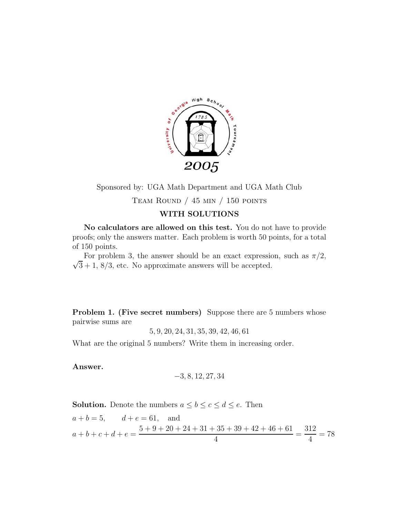

Sponsored by: UGA Math Department and UGA Math Club

TEAM ROUND  $/$  45 min  $/$  150 points

## **WITH SOLUTIONS**

**No calculators are allowed on this test.** You do not have to provide proofs; only the answers matter. Each problem is worth 50 points, for a total of 150 points.

 $\sqrt{3} + 1$ ,  $8/3$ , etc. No approximate answers will be accepted. For problem 3, the answer should be an exact expression, such as  $\pi/2$ ,

**Problem 1. (Five secret numbers)** Suppose there are 5 numbers whose pairwise sums are

5, 9, 20, 24, 31, 35, 39, 42, 46, 61

What are the original 5 numbers? Write them in increasing order.

**Answer.**

$$
\mathbf{-3}, 8, 12, 27, 34
$$

**Solution.** Denote the numbers  $a \leq b \leq c \leq d \leq e$ . Then

$$
a + b = 5
$$
,  $d + e = 61$ , and  
\n $a + b + c + d + e = \frac{5 + 9 + 20 + 24 + 31 + 35 + 39 + 42 + 46 + 61}{4} = \frac{312}{4} = 78$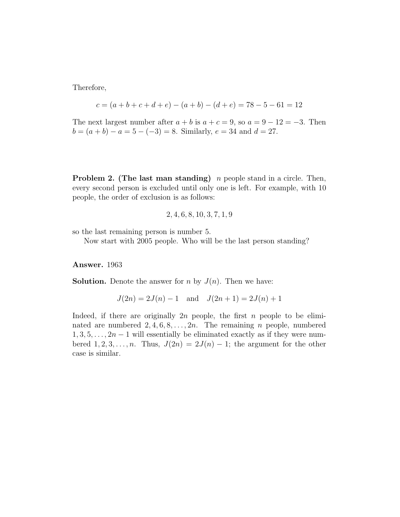Therefore,

$$
c = (a + b + c + d + e) - (a + b) - (d + e) = 78 - 5 - 61 = 12
$$

The next largest number after  $a + b$  is  $a + c = 9$ , so  $a = 9 - 12 = -3$ . Then  $b = (a + b) - a = 5 - (-3) = 8$ . Similarly,  $e = 34$  and  $d = 27$ .

**Problem 2. (The last man standing)** *n* people stand in a circle. Then, every second person is excluded until only one is left. For example, with 10 people, the order of exclusion is as follows:

$$
2, 4, 6, 8, 10, 3, 7, 1, 9
$$

so the last remaining person is number 5.

Now start with 2005 people. Who will be the last person standing?

## **Answer.** 1963

**Solution.** Denote the answer for n by  $J(n)$ . Then we have:

$$
J(2n) = 2J(n) - 1 \quad \text{and} \quad J(2n+1) = 2J(n) + 1
$$

Indeed, if there are originally  $2n$  people, the first n people to be eliminated are numbered  $2, 4, 6, 8, \ldots, 2n$ . The remaining *n* people, numbered  $1, 3, 5, \ldots, 2n-1$  will essentially be eliminated exactly as if they were numbered  $1, 2, 3, \ldots, n$ . Thus,  $J(2n)=2J(n) - 1$ ; the argument for the other case is similar.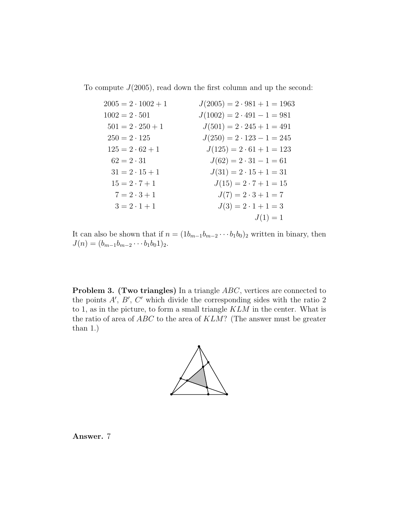To compute  $J(2005)$ , read down the first column and up the second:

| $2005 = 2 \cdot 1002 + 1$ | $J(2005) = 2 \cdot 981 + 1 = 1963$ |
|---------------------------|------------------------------------|
| $1002 = 2 \cdot 501$      | $J(1002) = 2 \cdot 491 - 1 = 981$  |
| $501 = 2 \cdot 250 + 1$   | $J(501) = 2 \cdot 245 + 1 = 491$   |
| $250 = 2 \cdot 125$       | $J(250) = 2 \cdot 123 - 1 = 245$   |
| $125 = 2 \cdot 62 + 1$    | $J(125) = 2 \cdot 61 + 1 = 123$    |
| $62 = 2 \cdot 31$         | $J(62) = 2 \cdot 31 - 1 = 61$      |
| $31 = 2 \cdot 15 + 1$     | $J(31) = 2 \cdot 15 + 1 = 31$      |
| $15 = 2 \cdot 7 + 1$      | $J(15) = 2 \cdot 7 + 1 = 15$       |
| $7 = 2 \cdot 3 + 1$       | $J(7) = 2 \cdot 3 + 1 = 7$         |
| $3 = 2 \cdot 1 + 1$       | $J(3) = 2 \cdot 1 + 1 = 3$         |
|                           | $J(1)=1$                           |

It can also be shown that if  $n = (1b_{m-1}b_{m-2}\cdots b_1b_0)_2$  written in binary, then  $J(n)=(b_{m-1}b_{m-2}\cdots b_1b_01)_2.$ 

**Problem 3. (Two triangles)** In a triangle ABC, vertices are connected to the points  $A', B', C'$  which divide the corresponding sides with the ratio 2 to 1, as in the picture, to form a small triangle  $KLM$  in the center. What is the ratio of area of  $ABC$  to the area of  $KLM$ ? (The answer must be greater than 1.)



**Answer.** 7